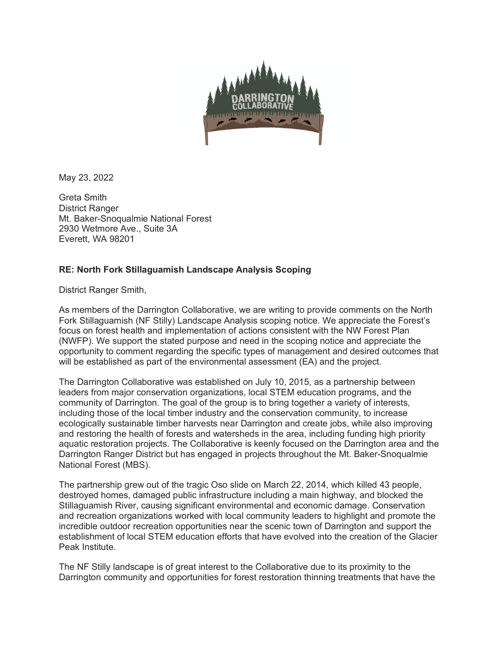

May 23, 2022

Greta Smith District Ranger Mt. Baker-Snoqualmie National Forest 2930 Wetmore Ave., Suite 3A Everett, WA 98201

## **RE: North Fork Stillaguamish Landscape Analysis Scoping**

District Ranger Smith,

As members of the Darrington Collaborative, we are writing to provide comments on the North Fork Stillaguamish (NF Stilly) Landscape Analysis scoping notice. We appreciate the Forest's focus on forest health and implementation of actions consistent with the NW Forest Plan (NWFP). We support the stated purpose and need in the scoping notice and appreciate the opportunity to comment regarding the specific types of management and desired outcomes that will be established as part of the environmental assessment (EA) and the project.

The Darrington Collaborative was established on July 10, 2015, as a partnership between leaders from major conservation organizations, local STEM education programs, and the community of Darrington. The goal of the group is to bring together a variety of interests, including those of the local timber industry and the conservation community, to increase ecologically sustainable timber harvests near Darrington and create jobs, while also improving and restoring the health of forests and watersheds in the area, including funding high priority aquatic restoration projects. The Collaborative is keenly focused on the Darrington area and the Darrington Ranger District but has engaged in projects throughout the Mt. Baker-Snoqualmie National Forest (MBS).

The partnership grew out of the tragic Oso slide on March 22, 2014, which killed 43 people, destroyed homes, damaged public infrastructure including a main highway, and blocked the Stillaguamish River, causing significant environmental and economic damage. Conservation and recreation organizations worked with local community leaders to highlight and promote the incredible outdoor recreation opportunities near the scenic town of Darrington and support the establishment of local STEM education efforts that have evolved into the creation of the Glacier Peak Institute.

The NF Stilly landscape is of great interest to the Collaborative due to its proximity to the Darrington community and opportunities for forest restoration thinning treatments that have the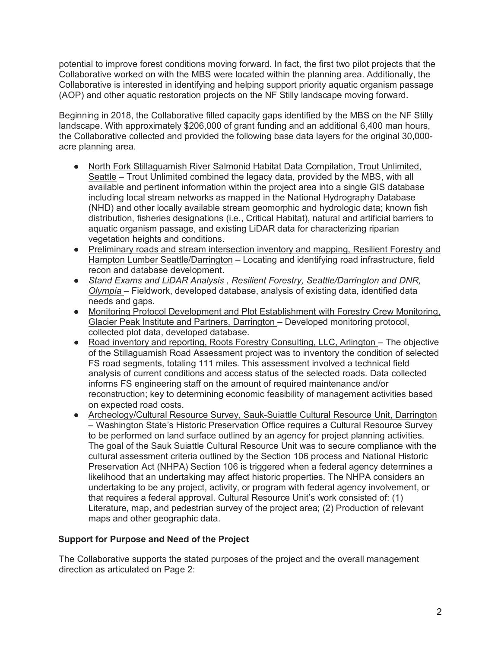potential to improve forest conditions moving forward. In fact, the first two pilot projects that the Collaborative worked on with the MBS were located within the planning area. Additionally, the Collaborative is interested in identifying and helping support priority aquatic organism passage (AOP) and other aquatic restoration projects on the NF Stilly landscape moving forward.

Beginning in 2018, the Collaborative filled capacity gaps identified by the MBS on the NF Stilly landscape. With approximately \$206,000 of grant funding and an additional 6,400 man hours, the Collaborative collected and provided the following base data layers for the original 30,000 acre planning area.

- North Fork Stillaguamish River Salmonid Habitat Data Compilation, Trout Unlimited, Seattle – Trout Unlimited combined the legacy data, provided by the MBS, with all available and pertinent information within the project area into a single GIS database including local stream networks as mapped in the National Hydrography Database (NHD) and other locally available stream geomorphic and hydrologic data; known fish distribution, fisheries designations (i.e., Critical Habitat), natural and artificial barriers to aquatic organism passage, and existing LiDAR data for characterizing riparian vegetation heights and conditions.
- Preliminary roads and stream intersection inventory and mapping, Resilient Forestry and Hampton Lumber Seattle/Darrington *–* Locating and identifying road infrastructure, field recon and database development.
- *Stand Exams and LiDAR Analysis , Resilient Forestry, Seattle/Darrington and DNR, Olympia –* Fieldwork, developed database, analysis of existing data, identified data needs and gaps.
- Monitoring Protocol Development and Plot Establishment with Forestry Crew Monitoring, Glacier Peak Institute and Partners, Darrington *–* Developed monitoring protocol, collected plot data, developed database.
- Road inventory and reporting, Roots Forestry Consulting, LLC, Arlington The objective of the Stillaguamish Road Assessment project was to inventory the condition of selected FS road segments, totaling 111 miles. This assessment involved a technical field analysis of current conditions and access status of the selected roads. Data collected informs FS engineering staff on the amount of required maintenance and/or reconstruction; key to determining economic feasibility of management activities based on expected road costs.
- Archeology/Cultural Resource Survey, Sauk-Suiattle Cultural Resource Unit, Darrington *–* Washington State's Historic Preservation Office requires a Cultural Resource Survey to be performed on land surface outlined by an agency for project planning activities. The goal of the Sauk Suiattle Cultural Resource Unit was to secure compliance with the cultural assessment criteria outlined by the Section 106 process and National Historic Preservation Act (NHPA) Section 106 is triggered when a federal agency determines a likelihood that an undertaking may affect historic properties. The NHPA considers an undertaking to be any project, activity, or program with federal agency involvement, or that requires a federal approval. Cultural Resource Unit's work consisted of: (1) Literature, map, and pedestrian survey of the project area; (2) Production of relevant maps and other geographic data.

# **Support for Purpose and Need of the Project**

The Collaborative supports the stated purposes of the project and the overall management direction as articulated on Page 2: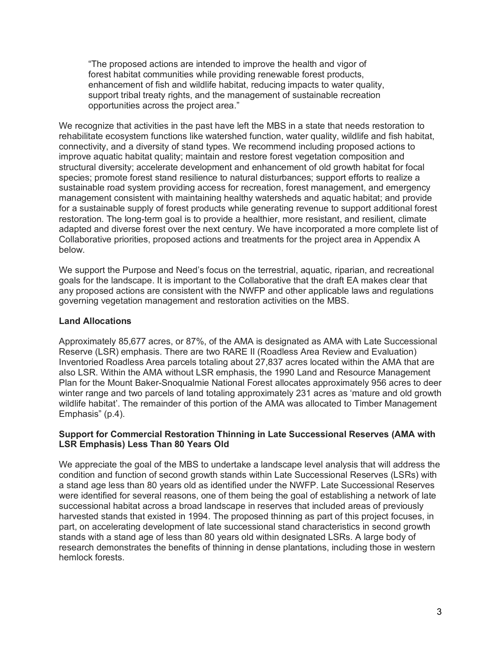"The proposed actions are intended to improve the health and vigor of forest habitat communities while providing renewable forest products, enhancement of fish and wildlife habitat, reducing impacts to water quality, support tribal treaty rights, and the management of sustainable recreation opportunities across the project area."

We recognize that activities in the past have left the MBS in a state that needs restoration to rehabilitate ecosystem functions like watershed function, water quality, wildlife and fish habitat, connectivity, and a diversity of stand types. We recommend including proposed actions to improve aquatic habitat quality; maintain and restore forest vegetation composition and structural diversity; accelerate development and enhancement of old growth habitat for focal species; promote forest stand resilience to natural disturbances; support efforts to realize a sustainable road system providing access for recreation, forest management, and emergency management consistent with maintaining healthy watersheds and aquatic habitat; and provide for a sustainable supply of forest products while generating revenue to support additional forest restoration. The long-term goal is to provide a healthier, more resistant, and resilient, climate adapted and diverse forest over the next century. We have incorporated a more complete list of Collaborative priorities, proposed actions and treatments for the project area in Appendix A below.

We support the Purpose and Need's focus on the terrestrial, aquatic, riparian, and recreational goals for the landscape. It is important to the Collaborative that the draft EA makes clear that any proposed actions are consistent with the NWFP and other applicable laws and regulations governing vegetation management and restoration activities on the MBS.

## **Land Allocations**

Approximately 85,677 acres, or 87%, of the AMA is designated as AMA with Late Successional Reserve (LSR) emphasis. There are two RARE II (Roadless Area Review and Evaluation) Inventoried Roadless Area parcels totaling about 27,837 acres located within the AMA that are also LSR. Within the AMA without LSR emphasis, the 1990 Land and Resource Management Plan for the Mount Baker-Snoqualmie National Forest allocates approximately 956 acres to deer winter range and two parcels of land totaling approximately 231 acres as 'mature and old growth wildlife habitat'. The remainder of this portion of the AMA was allocated to Timber Management Emphasis" (p.4).

## **Support for Commercial Restoration Thinning in Late Successional Reserves (AMA with LSR Emphasis) Less Than 80 Years Old**

We appreciate the goal of the MBS to undertake a landscape level analysis that will address the condition and function of second growth stands within Late Successional Reserves (LSRs) with a stand age less than 80 years old as identified under the NWFP. Late Successional Reserves were identified for several reasons, one of them being the goal of establishing a network of late successional habitat across a broad landscape in reserves that included areas of previously harvested stands that existed in 1994. The proposed thinning as part of this project focuses, in part, on accelerating development of late successional stand characteristics in second growth stands with a stand age of less than 80 years old within designated LSRs. A large body of research demonstrates the benefits of thinning in dense plantations, including those in western hemlock forests.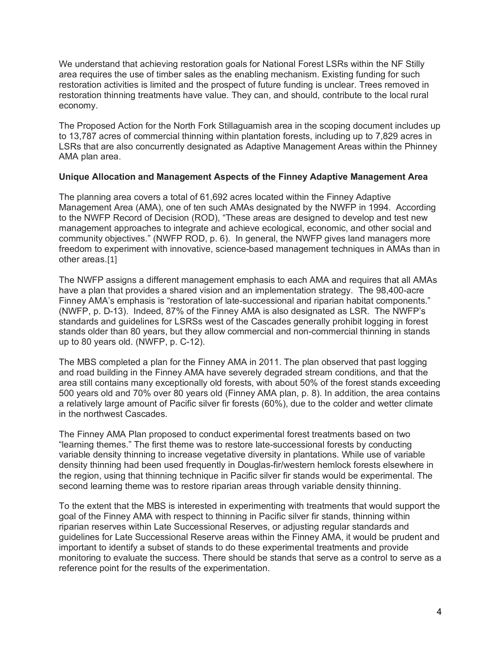We understand that achieving restoration goals for National Forest LSRs within the NF Stilly area requires the use of timber sales as the enabling mechanism. Existing funding for such restoration activities is limited and the prospect of future funding is unclear. Trees removed in restoration thinning treatments have value. They can, and should, contribute to the local rural economy.

The Proposed Action for the North Fork Stillaguamish area in the scoping document includes up to 13,787 acres of commercial thinning within plantation forests, including up to 7,829 acres in LSRs that are also concurrently designated as Adaptive Management Areas within the Phinney AMA plan area.

## **Unique Allocation and Management Aspects of the Finney Adaptive Management Area**

The planning area covers a total of 61,692 acres located within the Finney Adaptive Management Area (AMA), one of ten such AMAs designated by the NWFP in 1994. According to the NWFP Record of Decision (ROD), "These areas are designed to develop and test new management approaches to integrate and achieve ecological, economic, and other social and community objectives." (NWFP ROD, p. 6). In general, the NWFP gives land managers more freedom to experiment with innovative, science-based management techniques in AMAs than in other areas.[1]

The NWFP assigns a different management emphasis to each AMA and requires that all AMAs have a plan that provides a shared vision and an implementation strategy. The 98,400-acre Finney AMA's emphasis is "restoration of late-successional and riparian habitat components." (NWFP, p. D-13). Indeed, 87% of the Finney AMA is also designated as LSR. The NWFP's standards and guidelines for LSRSs west of the Cascades generally prohibit logging in forest stands older than 80 years, but they allow commercial and non-commercial thinning in stands up to 80 years old. (NWFP, p. C-12).

The MBS completed a plan for the Finney AMA in 2011. The plan observed that past logging and road building in the Finney AMA have severely degraded stream conditions, and that the area still contains many exceptionally old forests, with about 50% of the forest stands exceeding 500 years old and 70% over 80 years old (Finney AMA plan, p. 8). In addition, the area contains a relatively large amount of Pacific silver fir forests (60%), due to the colder and wetter climate in the northwest Cascades.

The Finney AMA Plan proposed to conduct experimental forest treatments based on two "learning themes." The first theme was to restore late-successional forests by conducting variable density thinning to increase vegetative diversity in plantations. While use of variable density thinning had been used frequently in Douglas-fir/western hemlock forests elsewhere in the region, using that thinning technique in Pacific silver fir stands would be experimental. The second learning theme was to restore riparian areas through variable density thinning.

To the extent that the MBS is interested in experimenting with treatments that would support the goal of the Finney AMA with respect to thinning in Pacific silver fir stands, thinning within riparian reserves within Late Successional Reserves, or adjusting regular standards and guidelines for Late Successional Reserve areas within the Finney AMA, it would be prudent and important to identify a subset of stands to do these experimental treatments and provide monitoring to evaluate the success. There should be stands that serve as a control to serve as a reference point for the results of the experimentation.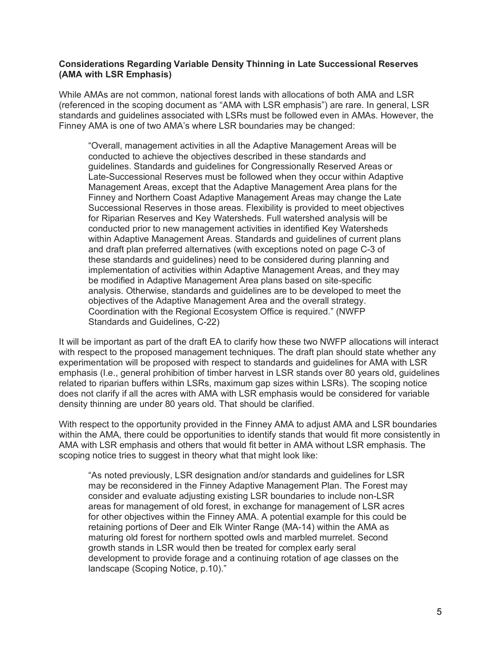#### **Considerations Regarding Variable Density Thinning in Late Successional Reserves (AMA with LSR Emphasis)**

While AMAs are not common, national forest lands with allocations of both AMA and LSR (referenced in the scoping document as "AMA with LSR emphasis") are rare. In general, LSR standards and guidelines associated with LSRs must be followed even in AMAs. However, the Finney AMA is one of two AMA's where LSR boundaries may be changed:

"Overall, management activities in all the Adaptive Management Areas will be conducted to achieve the objectives described in these standards and guidelines. Standards and guidelines for Congressionally Reserved Areas or Late-Successional Reserves must be followed when they occur within Adaptive Management Areas, except that the Adaptive Management Area plans for the Finney and Northern Coast Adaptive Management Areas may change the Late Successional Reserves in those areas. Flexibility is provided to meet objectives for Riparian Reserves and Key Watersheds. Full watershed analysis will be conducted prior to new management activities in identified Key Watersheds within Adaptive Management Areas. Standards and guidelines of current plans and draft plan preferred alternatives (with exceptions noted on page C-3 of these standards and guidelines) need to be considered during planning and implementation of activities within Adaptive Management Areas, and they may be modified in Adaptive Management Area plans based on site-specific analysis. Otherwise, standards and guidelines are to be developed to meet the objectives of the Adaptive Management Area and the overall strategy. Coordination with the Regional Ecosystem Office is required." (NWFP Standards and Guidelines, C-22)

It will be important as part of the draft EA to clarify how these two NWFP allocations will interact with respect to the proposed management techniques. The draft plan should state whether any experimentation will be proposed with respect to standards and guidelines for AMA with LSR emphasis (I.e., general prohibition of timber harvest in LSR stands over 80 years old, guidelines related to riparian buffers within LSRs, maximum gap sizes within LSRs). The scoping notice does not clarify if all the acres with AMA with LSR emphasis would be considered for variable density thinning are under 80 years old. That should be clarified.

With respect to the opportunity provided in the Finney AMA to adjust AMA and LSR boundaries within the AMA, there could be opportunities to identify stands that would fit more consistently in AMA with LSR emphasis and others that would fit better in AMA without LSR emphasis. The scoping notice tries to suggest in theory what that might look like:

"As noted previously, LSR designation and/or standards and guidelines for LSR may be reconsidered in the Finney Adaptive Management Plan. The Forest may consider and evaluate adjusting existing LSR boundaries to include non-LSR areas for management of old forest, in exchange for management of LSR acres for other objectives within the Finney AMA. A potential example for this could be retaining portions of Deer and Elk Winter Range (MA-14) within the AMA as maturing old forest for northern spotted owls and marbled murrelet. Second growth stands in LSR would then be treated for complex early seral development to provide forage and a continuing rotation of age classes on the landscape (Scoping Notice, p.10)."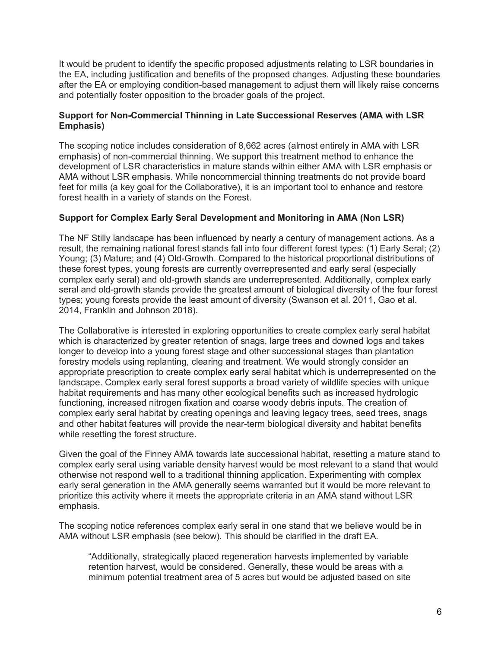It would be prudent to identify the specific proposed adjustments relating to LSR boundaries in the EA, including justification and benefits of the proposed changes. Adjusting these boundaries after the EA or employing condition-based management to adjust them will likely raise concerns and potentially foster opposition to the broader goals of the project.

## **Support for Non-Commercial Thinning in Late Successional Reserves (AMA with LSR Emphasis)**

The scoping notice includes consideration of 8,662 acres (almost entirely in AMA with LSR emphasis) of non-commercial thinning. We support this treatment method to enhance the development of LSR characteristics in mature stands within either AMA with LSR emphasis or AMA without LSR emphasis. While noncommercial thinning treatments do not provide board feet for mills (a key goal for the Collaborative), it is an important tool to enhance and restore forest health in a variety of stands on the Forest.

## **Support for Complex Early Seral Development and Monitoring in AMA (Non LSR)**

The NF Stilly landscape has been influenced by nearly a century of management actions. As a result, the remaining national forest stands fall into four different forest types: (1) Early Seral; (2) Young; (3) Mature; and (4) Old-Growth. Compared to the historical proportional distributions of these forest types, young forests are currently overrepresented and early seral (especially complex early seral) and old-growth stands are underrepresented. Additionally, complex early seral and old-growth stands provide the greatest amount of biological diversity of the four forest types; young forests provide the least amount of diversity (Swanson et al. 2011, Gao et al. 2014, Franklin and Johnson 2018).

The Collaborative is interested in exploring opportunities to create complex early seral habitat which is characterized by greater retention of snags, large trees and downed logs and takes longer to develop into a young forest stage and other successional stages than plantation forestry models using replanting, clearing and treatment. We would strongly consider an appropriate prescription to create complex early seral habitat which is underrepresented on the landscape. Complex early seral forest supports a broad variety of wildlife species with unique habitat requirements and has many other ecological benefits such as increased hydrologic functioning, increased nitrogen fixation and coarse woody debris inputs. The creation of complex early seral habitat by creating openings and leaving legacy trees, seed trees, snags and other habitat features will provide the near-term biological diversity and habitat benefits while resetting the forest structure.

Given the goal of the Finney AMA towards late successional habitat, resetting a mature stand to complex early seral using variable density harvest would be most relevant to a stand that would otherwise not respond well to a traditional thinning application. Experimenting with complex early seral generation in the AMA generally seems warranted but it would be more relevant to prioritize this activity where it meets the appropriate criteria in an AMA stand without LSR emphasis.

The scoping notice references complex early seral in one stand that we believe would be in AMA without LSR emphasis (see below). This should be clarified in the draft EA.

"Additionally, strategically placed regeneration harvests implemented by variable retention harvest, would be considered. Generally, these would be areas with a minimum potential treatment area of 5 acres but would be adjusted based on site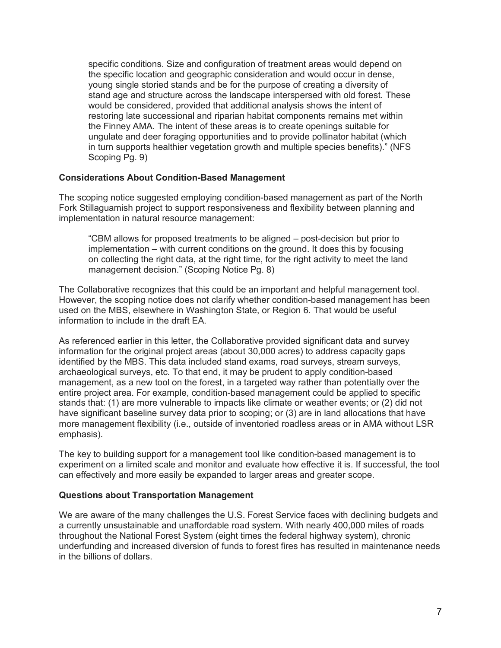specific conditions. Size and configuration of treatment areas would depend on the specific location and geographic consideration and would occur in dense, young single storied stands and be for the purpose of creating a diversity of stand age and structure across the landscape interspersed with old forest. These would be considered, provided that additional analysis shows the intent of restoring late successional and riparian habitat components remains met within the Finney AMA. The intent of these areas is to create openings suitable for ungulate and deer foraging opportunities and to provide pollinator habitat (which in turn supports healthier vegetation growth and multiple species benefits)." (NFS Scoping Pg. 9)

## **Considerations About Condition-Based Management**

The scoping notice suggested employing condition-based management as part of the North Fork Stillaguamish project to support responsiveness and flexibility between planning and implementation in natural resource management:

"CBM allows for proposed treatments to be aligned – post-decision but prior to implementation – with current conditions on the ground. It does this by focusing on collecting the right data, at the right time, for the right activity to meet the land management decision." (Scoping Notice Pg. 8)

The Collaborative recognizes that this could be an important and helpful management tool. However, the scoping notice does not clarify whether condition-based management has been used on the MBS, elsewhere in Washington State, or Region 6. That would be useful information to include in the draft EA.

As referenced earlier in this letter, the Collaborative provided significant data and survey information for the original project areas (about 30,000 acres) to address capacity gaps identified by the MBS. This data included stand exams, road surveys, stream surveys, archaeological surveys, etc. To that end, it may be prudent to apply condition-based management, as a new tool on the forest, in a targeted way rather than potentially over the entire project area. For example, condition-based management could be applied to specific stands that: (1) are more vulnerable to impacts like climate or weather events; or (2) did not have significant baseline survey data prior to scoping; or (3) are in land allocations that have more management flexibility (i.e., outside of inventoried roadless areas or in AMA without LSR emphasis).

The key to building support for a management tool like condition-based management is to experiment on a limited scale and monitor and evaluate how effective it is. If successful, the tool can effectively and more easily be expanded to larger areas and greater scope.

#### **Questions about Transportation Management**

We are aware of the many challenges the U.S. Forest Service faces with declining budgets and a currently unsustainable and unaffordable road system. With nearly 400,000 miles of roads throughout the National Forest System (eight times the federal highway system), chronic underfunding and increased diversion of funds to forest fires has resulted in maintenance needs in the billions of dollars.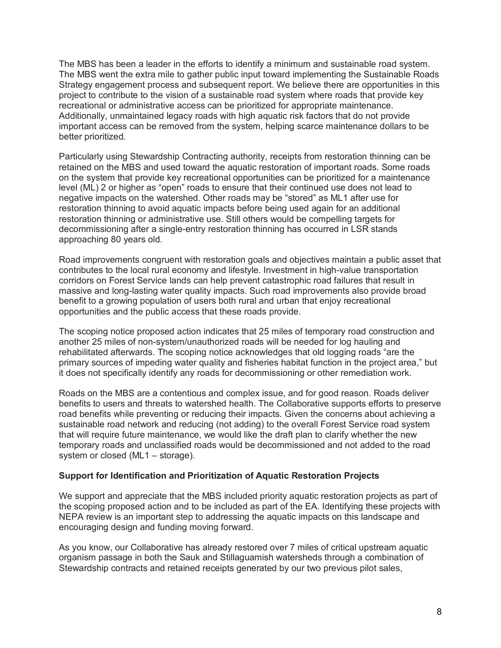The MBS has been a leader in the efforts to identify a minimum and sustainable road system. The MBS went the extra mile to gather public input toward implementing the Sustainable Roads Strategy engagement process and subsequent report. We believe there are opportunities in this project to contribute to the vision of a sustainable road system where roads that provide key recreational or administrative access can be prioritized for appropriate maintenance. Additionally, unmaintained legacy roads with high aquatic risk factors that do not provide important access can be removed from the system, helping scarce maintenance dollars to be better prioritized.

Particularly using Stewardship Contracting authority, receipts from restoration thinning can be retained on the MBS and used toward the aquatic restoration of important roads. Some roads on the system that provide key recreational opportunities can be prioritized for a maintenance level (ML) 2 or higher as "open" roads to ensure that their continued use does not lead to negative impacts on the watershed. Other roads may be "stored" as ML1 after use for restoration thinning to avoid aquatic impacts before being used again for an additional restoration thinning or administrative use. Still others would be compelling targets for decommissioning after a single-entry restoration thinning has occurred in LSR stands approaching 80 years old.

Road improvements congruent with restoration goals and objectives maintain a public asset that contributes to the local rural economy and lifestyle. Investment in high-value transportation corridors on Forest Service lands can help prevent catastrophic road failures that result in massive and long-lasting water quality impacts. Such road improvements also provide broad benefit to a growing population of users both rural and urban that enjoy recreational opportunities and the public access that these roads provide.

The scoping notice proposed action indicates that 25 miles of temporary road construction and another 25 miles of non-system/unauthorized roads will be needed for log hauling and rehabilitated afterwards. The scoping notice acknowledges that old logging roads "are the primary sources of impeding water quality and fisheries habitat function in the project area," but it does not specifically identify any roads for decommissioning or other remediation work.

Roads on the MBS are a contentious and complex issue, and for good reason. Roads deliver benefits to users and threats to watershed health. The Collaborative supports efforts to preserve road benefits while preventing or reducing their impacts. Given the concerns about achieving a sustainable road network and reducing (not adding) to the overall Forest Service road system that will require future maintenance, we would like the draft plan to clarify whether the new temporary roads and unclassified roads would be decommissioned and not added to the road system or closed (ML1 – storage).

## **Support for Identification and Prioritization of Aquatic Restoration Projects**

We support and appreciate that the MBS included priority aquatic restoration projects as part of the scoping proposed action and to be included as part of the EA. Identifying these projects with NEPA review is an important step to addressing the aquatic impacts on this landscape and encouraging design and funding moving forward.

As you know, our Collaborative has already restored over 7 miles of critical upstream aquatic organism passage in both the Sauk and Stillaguamish watersheds through a combination of Stewardship contracts and retained receipts generated by our two previous pilot sales,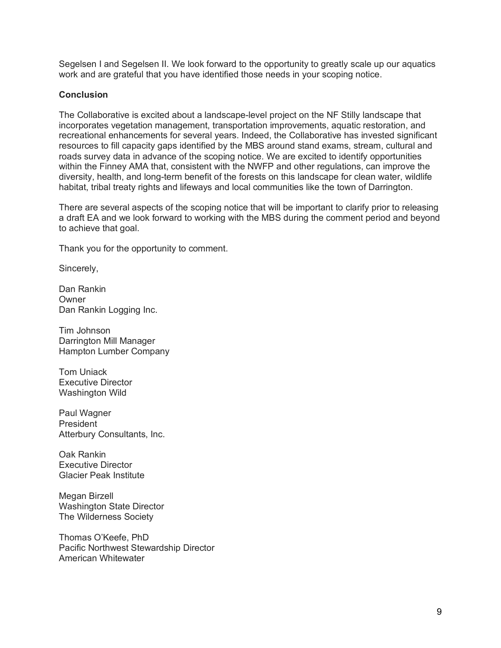Segelsen I and Segelsen II. We look forward to the opportunity to greatly scale up our aquatics work and are grateful that you have identified those needs in your scoping notice.

### **Conclusion**

The Collaborative is excited about a landscape-level project on the NF Stilly landscape that incorporates vegetation management, transportation improvements, aquatic restoration, and recreational enhancements for several years. Indeed, the Collaborative has invested significant resources to fill capacity gaps identified by the MBS around stand exams, stream, cultural and roads survey data in advance of the scoping notice. We are excited to identify opportunities within the Finney AMA that, consistent with the NWFP and other regulations, can improve the diversity, health, and long-term benefit of the forests on this landscape for clean water, wildlife habitat, tribal treaty rights and lifeways and local communities like the town of Darrington.

There are several aspects of the scoping notice that will be important to clarify prior to releasing a draft EA and we look forward to working with the MBS during the comment period and beyond to achieve that goal.

Thank you for the opportunity to comment.

Sincerely,

Dan Rankin **Owner** Dan Rankin Logging Inc.

Tim Johnson Darrington Mill Manager Hampton Lumber Company

Tom Uniack Executive Director Washington Wild

Paul Wagner President Atterbury Consultants, Inc.

Oak Rankin Executive Director Glacier Peak Institute

Megan Birzell Washington State Director The Wilderness Society

Thomas O'Keefe, PhD Pacific Northwest Stewardship Director American Whitewater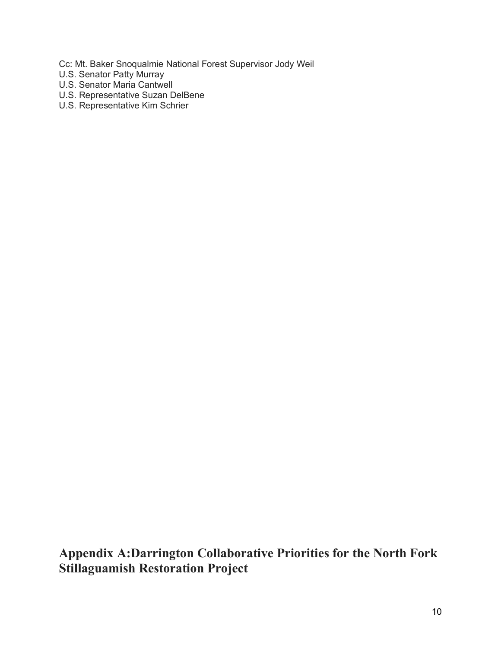Cc: Mt. Baker Snoqualmie National Forest Supervisor Jody Weil

- U.S. Senator Patty Murray
- U.S. Senator Maria Cantwell
- U.S. Representative Suzan DelBene
- U.S. Representative Kim Schrier

**Appendix A:Darrington Collaborative Priorities for the North Fork Stillaguamish Restoration Project**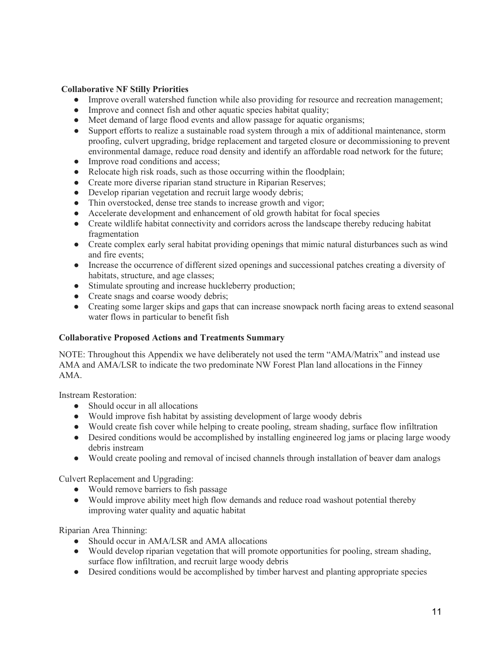#### **Collaborative NF Stilly Priorities**

- Improve overall watershed function while also providing for resource and recreation management;
- Improve and connect fish and other aquatic species habitat quality;
- Meet demand of large flood events and allow passage for aquatic organisms;
- Support efforts to realize a sustainable road system through a mix of additional maintenance, storm proofing, culvert upgrading, bridge replacement and targeted closure or decommissioning to prevent environmental damage, reduce road density and identify an affordable road network for the future;
- Improve road conditions and access;
- Relocate high risk roads, such as those occurring within the floodplain;
- Create more diverse riparian stand structure in Riparian Reserves;
- Develop riparian vegetation and recruit large woody debris;
- Thin overstocked, dense tree stands to increase growth and vigor;
- Accelerate development and enhancement of old growth habitat for focal species
- Create wildlife habitat connectivity and corridors across the landscape thereby reducing habitat fragmentation
- Create complex early seral habitat providing openings that mimic natural disturbances such as wind and fire events;
- Increase the occurrence of different sized openings and successional patches creating a diversity of habitats, structure, and age classes;
- Stimulate sprouting and increase huckleberry production;
- Create snags and coarse woody debris;
- Creating some larger skips and gaps that can increase snowpack north facing areas to extend seasonal water flows in particular to benefit fish

#### **Collaborative Proposed Actions and Treatments Summary**

NOTE: Throughout this Appendix we have deliberately not used the term "AMA/Matrix" and instead use AMA and AMA/LSR to indicate the two predominate NW Forest Plan land allocations in the Finney AMA.

Instream Restoration:

- Should occur in all allocations
- Would improve fish habitat by assisting development of large woody debris
- Would create fish cover while helping to create pooling, stream shading, surface flow infiltration
- Desired conditions would be accomplished by installing engineered log jams or placing large woody debris instream
- Would create pooling and removal of incised channels through installation of beaver dam analogs

Culvert Replacement and Upgrading:

- Would remove barriers to fish passage
- Would improve ability meet high flow demands and reduce road washout potential thereby improving water quality and aquatic habitat

#### Riparian Area Thinning:

- Should occur in AMA/LSR and AMA allocations
- Would develop riparian vegetation that will promote opportunities for pooling, stream shading, surface flow infiltration, and recruit large woody debris
- Desired conditions would be accomplished by timber harvest and planting appropriate species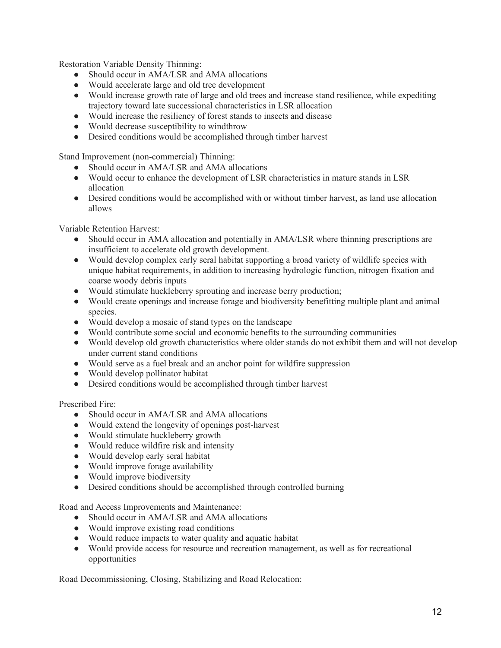Restoration Variable Density Thinning:

- Should occur in AMA/LSR and AMA allocations
- Would accelerate large and old tree development
- Would increase growth rate of large and old trees and increase stand resilience, while expediting trajectory toward late successional characteristics in LSR allocation
- Would increase the resiliency of forest stands to insects and disease
- Would decrease susceptibility to windthrow
- Desired conditions would be accomplished through timber harvest

Stand Improvement (non-commercial) Thinning:

- Should occur in AMA/LSR and AMA allocations
- Would occur to enhance the development of LSR characteristics in mature stands in LSR allocation
- Desired conditions would be accomplished with or without timber harvest, as land use allocation allows

Variable Retention Harvest:

- Should occur in AMA allocation and potentially in AMA/LSR where thinning prescriptions are insufficient to accelerate old growth development.
- Would develop complex early seral habitat supporting a broad variety of wildlife species with unique habitat requirements, in addition to increasing hydrologic function, nitrogen fixation and coarse woody debris inputs
- Would stimulate huckleberry sprouting and increase berry production;
- Would create openings and increase forage and biodiversity benefitting multiple plant and animal species.
- Would develop a mosaic of stand types on the landscape
- Would contribute some social and economic benefits to the surrounding communities
- Would develop old growth characteristics where older stands do not exhibit them and will not develop under current stand conditions
- Would serve as a fuel break and an anchor point for wildfire suppression
- Would develop pollinator habitat
- Desired conditions would be accomplished through timber harvest

Prescribed Fire:

- Should occur in AMA/LSR and AMA allocations
- Would extend the longevity of openings post-harvest
- Would stimulate huckleberry growth
- Would reduce wildfire risk and intensity
- Would develop early seral habitat
- Would improve forage availability
- Would improve biodiversity
- Desired conditions should be accomplished through controlled burning

Road and Access Improvements and Maintenance:

- Should occur in AMA/LSR and AMA allocations
- Would improve existing road conditions
- Would reduce impacts to water quality and aquatic habitat
- Would provide access for resource and recreation management, as well as for recreational opportunities

Road Decommissioning, Closing, Stabilizing and Road Relocation: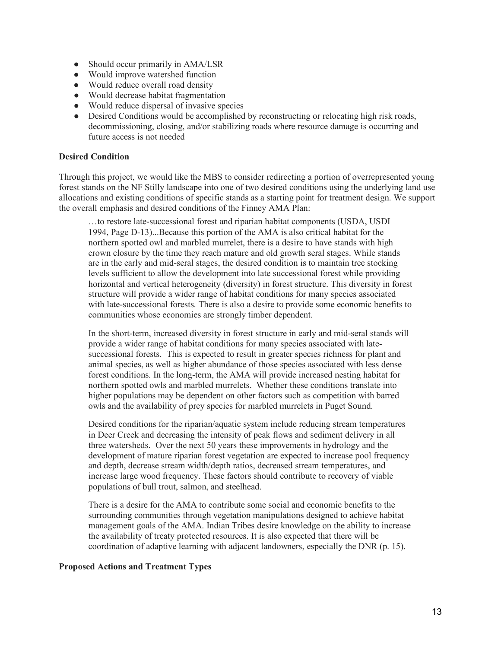- Should occur primarily in AMA/LSR
- Would improve watershed function
- Would reduce overall road density
- Would decrease habitat fragmentation
- Would reduce dispersal of invasive species
- Desired Conditions would be accomplished by reconstructing or relocating high risk roads, decommissioning, closing, and/or stabilizing roads where resource damage is occurring and future access is not needed

#### **Desired Condition**

Through this project, we would like the MBS to consider redirecting a portion of overrepresented young forest stands on the NF Stilly landscape into one of two desired conditions using the underlying land use allocations and existing conditions of specific stands as a starting point for treatment design. We support the overall emphasis and desired conditions of the Finney AMA Plan:

…to restore late-successional forest and riparian habitat components (USDA, USDI 1994, Page D-13)...Because this portion of the AMA is also critical habitat for the northern spotted owl and marbled murrelet, there is a desire to have stands with high crown closure by the time they reach mature and old growth seral stages. While stands are in the early and mid-seral stages, the desired condition is to maintain tree stocking levels sufficient to allow the development into late successional forest while providing horizontal and vertical heterogeneity (diversity) in forest structure. This diversity in forest structure will provide a wider range of habitat conditions for many species associated with late-successional forests. There is also a desire to provide some economic benefits to communities whose economies are strongly timber dependent.

In the short-term, increased diversity in forest structure in early and mid-seral stands will provide a wider range of habitat conditions for many species associated with latesuccessional forests. This is expected to result in greater species richness for plant and animal species, as well as higher abundance of those species associated with less dense forest conditions. In the long-term, the AMA will provide increased nesting habitat for northern spotted owls and marbled murrelets. Whether these conditions translate into higher populations may be dependent on other factors such as competition with barred owls and the availability of prey species for marbled murrelets in Puget Sound.

Desired conditions for the riparian/aquatic system include reducing stream temperatures in Deer Creek and decreasing the intensity of peak flows and sediment delivery in all three watersheds. Over the next 50 years these improvements in hydrology and the development of mature riparian forest vegetation are expected to increase pool frequency and depth, decrease stream width/depth ratios, decreased stream temperatures, and increase large wood frequency. These factors should contribute to recovery of viable populations of bull trout, salmon, and steelhead.

There is a desire for the AMA to contribute some social and economic benefits to the surrounding communities through vegetation manipulations designed to achieve habitat management goals of the AMA. Indian Tribes desire knowledge on the ability to increase the availability of treaty protected resources. It is also expected that there will be coordination of adaptive learning with adjacent landowners, especially the DNR (p. 15).

#### **Proposed Actions and Treatment Types**